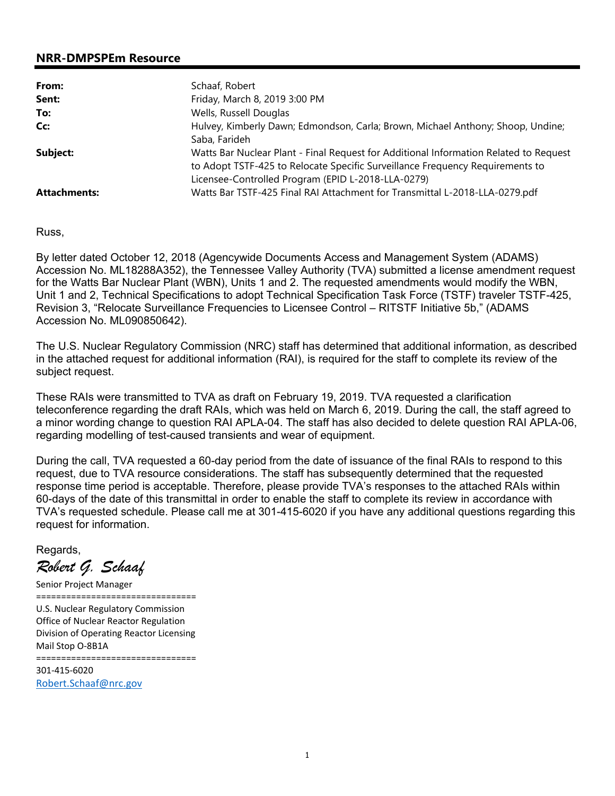#### **NRR-DMPSPEm Resource**

| From:               | Schaaf, Robert                                                                                                                                                                                                               |
|---------------------|------------------------------------------------------------------------------------------------------------------------------------------------------------------------------------------------------------------------------|
| Sent:               | Friday, March 8, 2019 3:00 PM                                                                                                                                                                                                |
| To:                 | Wells, Russell Douglas                                                                                                                                                                                                       |
| Cc:                 | Hulvey, Kimberly Dawn; Edmondson, Carla; Brown, Michael Anthony; Shoop, Undine;<br>Saba, Farideh                                                                                                                             |
| Subject:            | Watts Bar Nuclear Plant - Final Request for Additional Information Related to Request<br>to Adopt TSTF-425 to Relocate Specific Surveillance Frequency Requirements to<br>Licensee-Controlled Program (EPID L-2018-LLA-0279) |
| <b>Attachments:</b> | Watts Bar TSTF-425 Final RAI Attachment for Transmittal L-2018-LLA-0279.pdf                                                                                                                                                  |

Russ,

By letter dated October 12, 2018 (Agencywide Documents Access and Management System (ADAMS) Accession No. ML18288A352), the Tennessee Valley Authority (TVA) submitted a license amendment request for the Watts Bar Nuclear Plant (WBN), Units 1 and 2. The requested amendments would modify the WBN, Unit 1 and 2, Technical Specifications to adopt Technical Specification Task Force (TSTF) traveler TSTF-425, Revision 3, "Relocate Surveillance Frequencies to Licensee Control – RITSTF Initiative 5b," (ADAMS Accession No. ML090850642).

The U.S. Nuclear Regulatory Commission (NRC) staff has determined that additional information, as described in the attached request for additional information (RAI), is required for the staff to complete its review of the subject request.

These RAIs were transmitted to TVA as draft on February 19, 2019. TVA requested a clarification teleconference regarding the draft RAIs, which was held on March 6, 2019. During the call, the staff agreed to a minor wording change to question RAI APLA-04. The staff has also decided to delete question RAI APLA-06, regarding modelling of test-caused transients and wear of equipment.

During the call, TVA requested a 60-day period from the date of issuance of the final RAIs to respond to this request, due to TVA resource considerations. The staff has subsequently determined that the requested response time period is acceptable. Therefore, please provide TVA's responses to the attached RAIs within 60-days of the date of this transmittal in order to enable the staff to complete its review in accordance with TVA's requested schedule. Please call me at 301-415-6020 if you have any additional questions regarding this request for information.

Regards,

*Robert G. Schaaf* 

Senior Project Manager ================================ U.S. Nuclear Regulatory Commission Office of Nuclear Reactor Regulation Division of Operating Reactor Licensing Mail Stop O-8B1A ================================ 301-415-6020 Robert.Schaaf@nrc.gov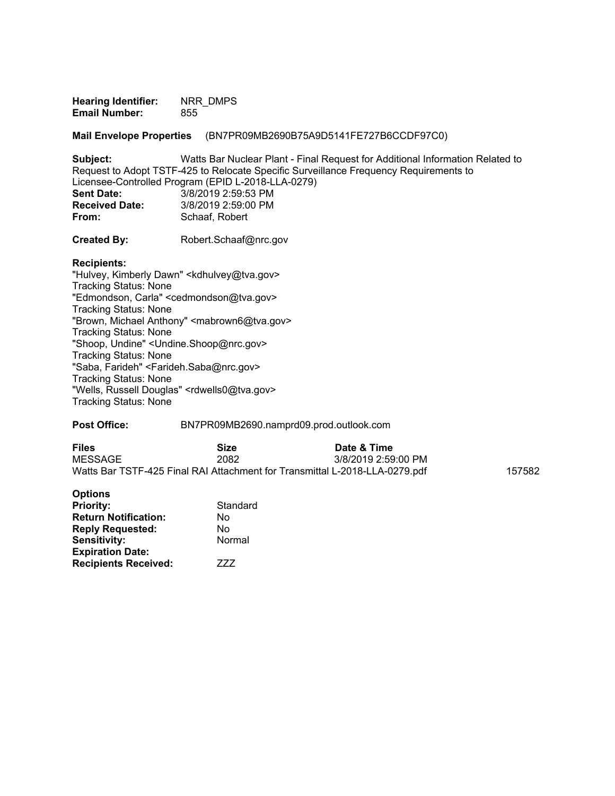**Hearing Identifier:** NRR\_DMPS **Email Number:** 855

**Mail Envelope Properties** (BN7PR09MB2690B75A9D5141FE727B6CCDF97C0)

**Subject:** Watts Bar Nuclear Plant - Final Request for Additional Information Related to Request to Adopt TSTF-425 to Relocate Specific Surveillance Frequency Requirements to Licensee-Controlled Program (EPID L-2018-LLA-0279) **Sent Date:** 3/8/2019 2:59:53 PM<br>**Received Date:** 3/8/2019 2:59:00 PM **Received Date:** 3/8/2019 2:59:00 PM<br> **From:** Schaaf. Robert **From:** Schaaf, Robert

**Created By:** Robert.Schaaf@nrc.gov

#### **Recipients:**

"Hulvey, Kimberly Dawn" <kdhulvey@tva.gov> Tracking Status: None "Edmondson, Carla" <cedmondson@tva.gov> Tracking Status: None "Brown, Michael Anthony" <mabrown6@tva.gov> Tracking Status: None "Shoop, Undine" <Undine.Shoop@nrc.gov> Tracking Status: None "Saba, Farideh" <Farideh.Saba@nrc.gov> Tracking Status: None "Wells, Russell Douglas" <rdwells0@tva.gov> Tracking Status: None

#### **Post Office:** BN7PR09MB2690.namprd09.prod.outlook.com

| <b>Files</b>                                                                | Size | Date & Time         |        |
|-----------------------------------------------------------------------------|------|---------------------|--------|
| MESSAGE                                                                     | 2082 | 3/8/2019 2:59:00 PM |        |
| Watts Bar TSTF-425 Final RAI Attachment for Transmittal L-2018-LLA-0279.pdf |      |                     | 157582 |

| <b>Options</b>              |          |
|-----------------------------|----------|
| <b>Priority:</b>            | Standard |
| <b>Return Notification:</b> | No       |
| <b>Reply Requested:</b>     | No       |
| <b>Sensitivity:</b>         | Normal   |
| <b>Expiration Date:</b>     |          |
| <b>Recipients Received:</b> | 777      |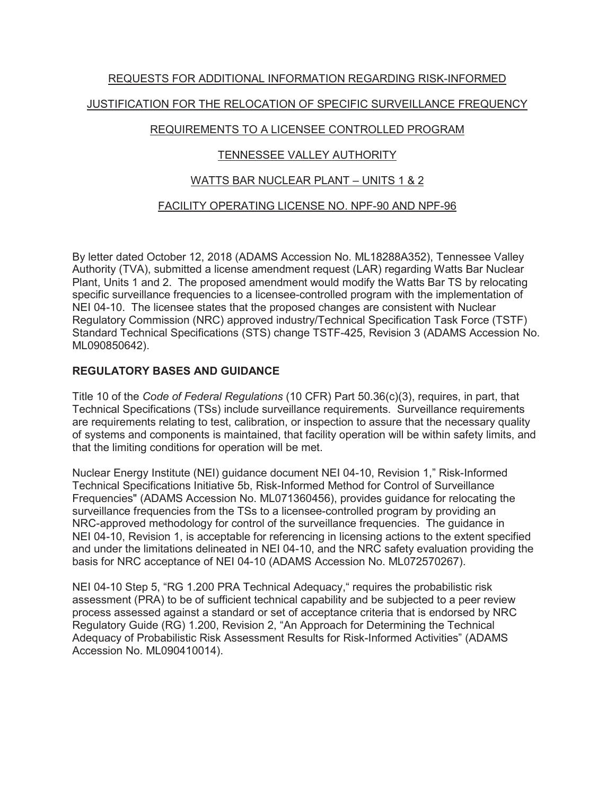# REQUESTS FOR ADDITIONAL INFORMATION REGARDING RISK-INFORMED JUSTIFICATION FOR THE RELOCATION OF SPECIFIC SURVEILLANCE FREQUENCY

# REQUIREMENTS TO A LICENSEE CONTROLLED PROGRAM

# TENNESSEE VALLEY AUTHORITY

# WATTS BAR NUCLEAR PLANT – UNITS 1 & 2

# FACILITY OPERATING LICENSE NO. NPF-90 AND NPF-96

By letter dated October 12, 2018 (ADAMS Accession No. ML18288A352), Tennessee Valley Authority (TVA), submitted a license amendment request (LAR) regarding Watts Bar Nuclear Plant, Units 1 and 2. The proposed amendment would modify the Watts Bar TS by relocating specific surveillance frequencies to a licensee-controlled program with the implementation of NEI 04-10. The licensee states that the proposed changes are consistent with Nuclear Regulatory Commission (NRC) approved industry/Technical Specification Task Force (TSTF) Standard Technical Specifications (STS) change TSTF-425, Revision 3 (ADAMS Accession No. ML090850642).

## **REGULATORY BASES AND GUIDANCE**

Title 10 of the *Code of Federal Regulations* (10 CFR) Part 50.36(c)(3), requires, in part, that Technical Specifications (TSs) include surveillance requirements. Surveillance requirements are requirements relating to test, calibration, or inspection to assure that the necessary quality of systems and components is maintained, that facility operation will be within safety limits, and that the limiting conditions for operation will be met.

Nuclear Energy Institute (NEI) guidance document NEI 04-10, Revision 1," Risk-Informed Technical Specifications Initiative 5b, Risk-Informed Method for Control of Surveillance Frequencies" (ADAMS Accession No. ML071360456), provides guidance for relocating the surveillance frequencies from the TSs to a licensee-controlled program by providing an NRC-approved methodology for control of the surveillance frequencies. The guidance in NEI 04-10, Revision 1, is acceptable for referencing in licensing actions to the extent specified and under the limitations delineated in NEI 04-10, and the NRC safety evaluation providing the basis for NRC acceptance of NEI 04-10 (ADAMS Accession No. ML072570267).

NEI 04-10 Step 5, "RG 1.200 PRA Technical Adequacy," requires the probabilistic risk assessment (PRA) to be of sufficient technical capability and be subjected to a peer review process assessed against a standard or set of acceptance criteria that is endorsed by NRC Regulatory Guide (RG) 1.200, Revision 2, "An Approach for Determining the Technical Adequacy of Probabilistic Risk Assessment Results for Risk-Informed Activities" (ADAMS Accession No. ML090410014).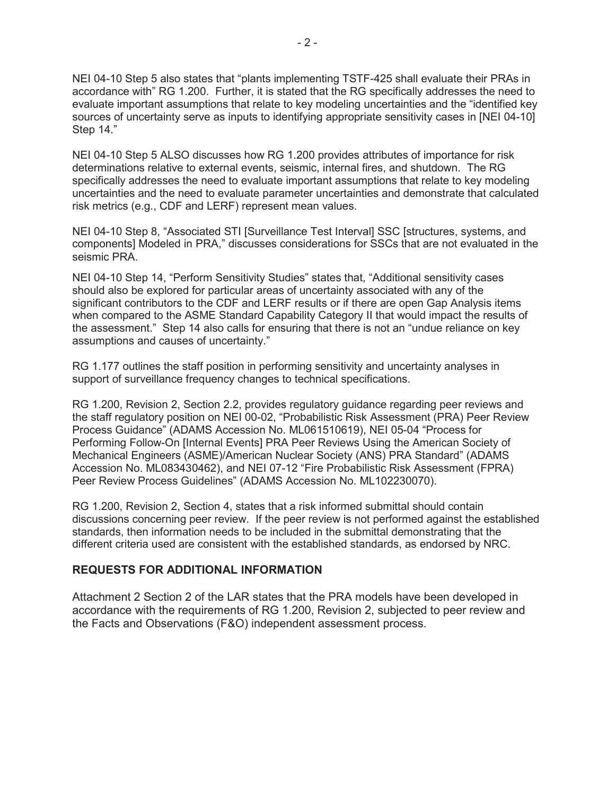NEI 04-10 Step 5 also states that "plants implementing TSTF-425 shall evaluate their PRAs in accordance with" RG 1.200. Further, it is stated that the RG specifically addresses the need to evaluate important assumptions that relate to key modeling uncertainties and the "identified key sources of uncertainty serve as inputs to identifying appropriate sensitivity cases in [NEI 04-10] Step 14."

NEI 04-10 Step 5 ALSO discusses how RG 1.200 provides attributes of importance for risk determinations relative to external events, seismic, internal fires, and shutdown. The RG specifically addresses the need to evaluate important assumptions that relate to key modeling uncertainties and the need to evaluate parameter uncertainties and demonstrate that calculated risk metrics (e.g., CDF and LERF) represent mean values.

NEI 04-10 Step 8, "Associated STI [Surveillance Test Interval] SSC [structures, systems, and components] Modeled in PRA," discusses considerations for SSCs that are not evaluated in the seismic PRA.

NEI 04-10 Step 14, "Perform Sensitivity Studies" states that, "Additional sensitivity cases should also be explored for particular areas of uncertainty associated with any of the significant contributors to the CDF and LERF results or if there are open Gap Analysis items when compared to the ASME Standard Capability Category II that would impact the results of the assessment." Step 14 also calls for ensuring that there is not an "undue reliance on key assumptions and causes of uncertainty."

RG 1.177 outlines the staff position in performing sensitivity and uncertainty analyses in support of surveillance frequency changes to technical specifications.

RG 1.200, Revision 2, Section 2.2, provides regulatory guidance regarding peer reviews and the staff regulatory position on NEI 00-02, "Probabilistic Risk Assessment (PRA) Peer Review Process Guidance" (ADAMS Accession No. ML061510619), NEI 05-04 "Process for Performing Follow-On [Internal Events] PRA Peer Reviews Using the American Society of Mechanical Engineers (ASME)/American Nuclear Society (ANS) PRA Standard" (ADAMS Accession No. ML083430462), and NEI 07-12 "Fire Probabilistic Risk Assessment (FPRA) Peer Review Process Guidelines" (ADAMS Accession No. ML102230070).

RG 1.200, Revision 2, Section 4, states that a risk informed submittal should contain discussions concerning peer review. If the peer review is not performed against the established standards, then information needs to be included in the submittal demonstrating that the different criteria used are consistent with the established standards, as endorsed by NRC.

#### **REQUESTS FOR ADDITIONAL INFORMATION**

Attachment 2 Section 2 of the LAR states that the PRA models have been developed in accordance with the requirements of RG 1.200, Revision 2, subjected to peer review and the Facts and Observations (F&O) independent assessment process.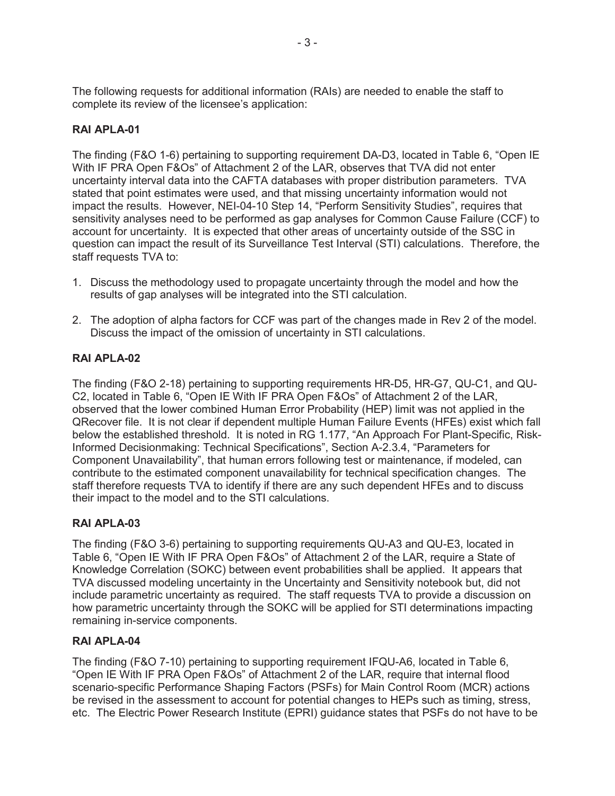The following requests for additional information (RAIs) are needed to enable the staff to complete its review of the licensee's application:

#### **RAI APLA-01**

The finding (F&O 1-6) pertaining to supporting requirement DA-D3, located in Table 6, "Open IE With IF PRA Open F&Os" of Attachment 2 of the LAR, observes that TVA did not enter uncertainty interval data into the CAFTA databases with proper distribution parameters. TVA stated that point estimates were used, and that missing uncertainty information would not impact the results. However, NEI-04-10 Step 14, "Perform Sensitivity Studies", requires that sensitivity analyses need to be performed as gap analyses for Common Cause Failure (CCF) to account for uncertainty. It is expected that other areas of uncertainty outside of the SSC in question can impact the result of its Surveillance Test Interval (STI) calculations. Therefore, the staff requests TVA to:

- 1. Discuss the methodology used to propagate uncertainty through the model and how the results of gap analyses will be integrated into the STI calculation.
- 2. The adoption of alpha factors for CCF was part of the changes made in Rev 2 of the model. Discuss the impact of the omission of uncertainty in STI calculations.

#### **RAI APLA-02**

The finding (F&O 2-18) pertaining to supporting requirements HR-D5, HR-G7, QU-C1, and QU-C2, located in Table 6, "Open IE With IF PRA Open F&Os" of Attachment 2 of the LAR, observed that the lower combined Human Error Probability (HEP) limit was not applied in the QRecover file. It is not clear if dependent multiple Human Failure Events (HFEs) exist which fall below the established threshold. It is noted in RG 1.177, "An Approach For Plant-Specific, Risk-Informed Decisionmaking: Technical Specifications", Section A-2.3.4, "Parameters for Component Unavailability", that human errors following test or maintenance, if modeled, can contribute to the estimated component unavailability for technical specification changes. The staff therefore requests TVA to identify if there are any such dependent HFEs and to discuss their impact to the model and to the STI calculations.

#### **RAI APLA-03**

The finding (F&O 3-6) pertaining to supporting requirements QU-A3 and QU-E3, located in Table 6, "Open IE With IF PRA Open F&Os" of Attachment 2 of the LAR, require a State of Knowledge Correlation (SOKC) between event probabilities shall be applied. It appears that TVA discussed modeling uncertainty in the Uncertainty and Sensitivity notebook but, did not include parametric uncertainty as required. The staff requests TVA to provide a discussion on how parametric uncertainty through the SOKC will be applied for STI determinations impacting remaining in-service components.

#### **RAI APLA-04**

The finding (F&O 7-10) pertaining to supporting requirement IFQU-A6, located in Table 6, "Open IE With IF PRA Open F&Os" of Attachment 2 of the LAR, require that internal flood scenario-specific Performance Shaping Factors (PSFs) for Main Control Room (MCR) actions be revised in the assessment to account for potential changes to HEPs such as timing, stress, etc. The Electric Power Research Institute (EPRI) guidance states that PSFs do not have to be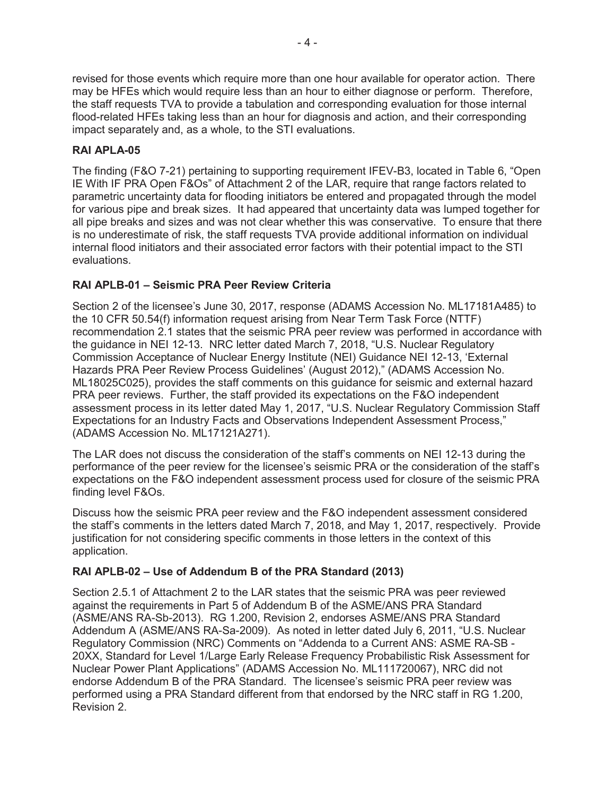revised for those events which require more than one hour available for operator action. There may be HFEs which would require less than an hour to either diagnose or perform. Therefore, the staff requests TVA to provide a tabulation and corresponding evaluation for those internal flood-related HFEs taking less than an hour for diagnosis and action, and their corresponding impact separately and, as a whole, to the STI evaluations.

# **RAI APLA-05**

The finding (F&O 7-21) pertaining to supporting requirement IFEV-B3, located in Table 6, "Open IE With IF PRA Open F&Os" of Attachment 2 of the LAR, require that range factors related to parametric uncertainty data for flooding initiators be entered and propagated through the model for various pipe and break sizes. It had appeared that uncertainty data was lumped together for all pipe breaks and sizes and was not clear whether this was conservative. To ensure that there is no underestimate of risk, the staff requests TVA provide additional information on individual internal flood initiators and their associated error factors with their potential impact to the STI evaluations.

# **RAI APLB-01 – Seismic PRA Peer Review Criteria**

Section 2 of the licensee's June 30, 2017, response (ADAMS Accession No. ML17181A485) to the 10 CFR 50.54(f) information request arising from Near Term Task Force (NTTF) recommendation 2.1 states that the seismic PRA peer review was performed in accordance with the guidance in NEI 12-13. NRC letter dated March 7, 2018, "U.S. Nuclear Regulatory Commission Acceptance of Nuclear Energy Institute (NEI) Guidance NEI 12-13, 'External Hazards PRA Peer Review Process Guidelines' (August 2012)," (ADAMS Accession No. ML18025C025), provides the staff comments on this guidance for seismic and external hazard PRA peer reviews. Further, the staff provided its expectations on the F&O independent assessment process in its letter dated May 1, 2017, "U.S. Nuclear Regulatory Commission Staff Expectations for an Industry Facts and Observations Independent Assessment Process," (ADAMS Accession No. ML17121A271).

The LAR does not discuss the consideration of the staff's comments on NEI 12-13 during the performance of the peer review for the licensee's seismic PRA or the consideration of the staff's expectations on the F&O independent assessment process used for closure of the seismic PRA finding level F&Os.

Discuss how the seismic PRA peer review and the F&O independent assessment considered the staff's comments in the letters dated March 7, 2018, and May 1, 2017, respectively. Provide justification for not considering specific comments in those letters in the context of this application.

## **RAI APLB-02 – Use of Addendum B of the PRA Standard (2013)**

Section 2.5.1 of Attachment 2 to the LAR states that the seismic PRA was peer reviewed against the requirements in Part 5 of Addendum B of the ASME/ANS PRA Standard (ASME/ANS RA-Sb-2013). RG 1.200, Revision 2, endorses ASME/ANS PRA Standard Addendum A (ASME/ANS RA-Sa-2009). As noted in letter dated July 6, 2011, "U.S. Nuclear Regulatory Commission (NRC) Comments on "Addenda to a Current ANS: ASME RA-SB - 20XX, Standard for Level 1/Large Early Release Frequency Probabilistic Risk Assessment for Nuclear Power Plant Applications" (ADAMS Accession No. ML111720067), NRC did not endorse Addendum B of the PRA Standard. The licensee's seismic PRA peer review was performed using a PRA Standard different from that endorsed by the NRC staff in RG 1.200, Revision 2.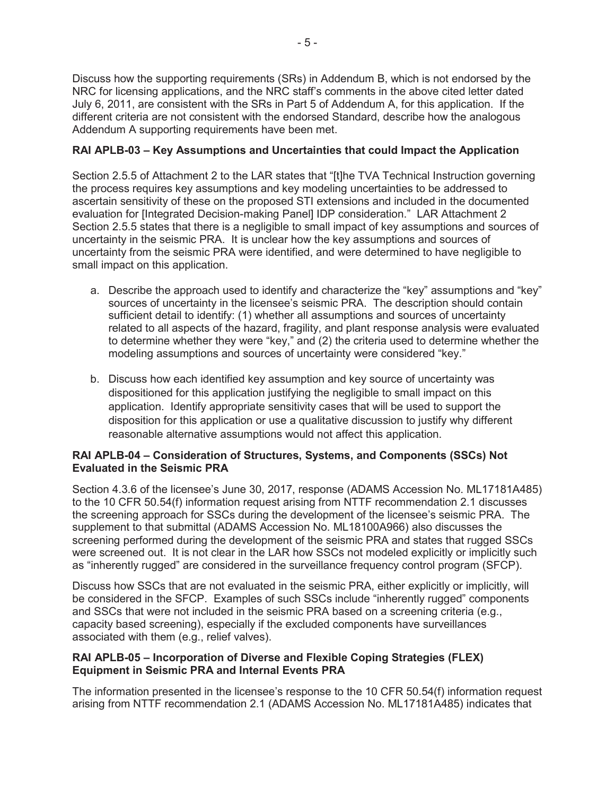Discuss how the supporting requirements (SRs) in Addendum B, which is not endorsed by the NRC for licensing applications, and the NRC staff's comments in the above cited letter dated July 6, 2011, are consistent with the SRs in Part 5 of Addendum A, for this application. If the different criteria are not consistent with the endorsed Standard, describe how the analogous Addendum A supporting requirements have been met.

## **RAI APLB-03 – Key Assumptions and Uncertainties that could Impact the Application**

Section 2.5.5 of Attachment 2 to the LAR states that "[t]he TVA Technical Instruction governing the process requires key assumptions and key modeling uncertainties to be addressed to ascertain sensitivity of these on the proposed STI extensions and included in the documented evaluation for [Integrated Decision-making Panel] IDP consideration." LAR Attachment 2 Section 2.5.5 states that there is a negligible to small impact of key assumptions and sources of uncertainty in the seismic PRA. It is unclear how the key assumptions and sources of uncertainty from the seismic PRA were identified, and were determined to have negligible to small impact on this application.

- a. Describe the approach used to identify and characterize the "key" assumptions and "key" sources of uncertainty in the licensee's seismic PRA. The description should contain sufficient detail to identify: (1) whether all assumptions and sources of uncertainty related to all aspects of the hazard, fragility, and plant response analysis were evaluated to determine whether they were "key," and (2) the criteria used to determine whether the modeling assumptions and sources of uncertainty were considered "key."
- b. Discuss how each identified key assumption and key source of uncertainty was dispositioned for this application justifying the negligible to small impact on this application. Identify appropriate sensitivity cases that will be used to support the disposition for this application or use a qualitative discussion to justify why different reasonable alternative assumptions would not affect this application.

#### **RAI APLB-04 – Consideration of Structures, Systems, and Components (SSCs) Not Evaluated in the Seismic PRA**

Section 4.3.6 of the licensee's June 30, 2017, response (ADAMS Accession No. ML17181A485) to the 10 CFR 50.54(f) information request arising from NTTF recommendation 2.1 discusses the screening approach for SSCs during the development of the licensee's seismic PRA. The supplement to that submittal (ADAMS Accession No. ML18100A966) also discusses the screening performed during the development of the seismic PRA and states that rugged SSCs were screened out. It is not clear in the LAR how SSCs not modeled explicitly or implicitly such as "inherently rugged" are considered in the surveillance frequency control program (SFCP).

Discuss how SSCs that are not evaluated in the seismic PRA, either explicitly or implicitly, will be considered in the SFCP. Examples of such SSCs include "inherently rugged" components and SSCs that were not included in the seismic PRA based on a screening criteria (e.g., capacity based screening), especially if the excluded components have surveillances associated with them (e.g., relief valves).

#### **RAI APLB-05 – Incorporation of Diverse and Flexible Coping Strategies (FLEX) Equipment in Seismic PRA and Internal Events PRA**

The information presented in the licensee's response to the 10 CFR 50.54(f) information request arising from NTTF recommendation 2.1 (ADAMS Accession No. ML17181A485) indicates that